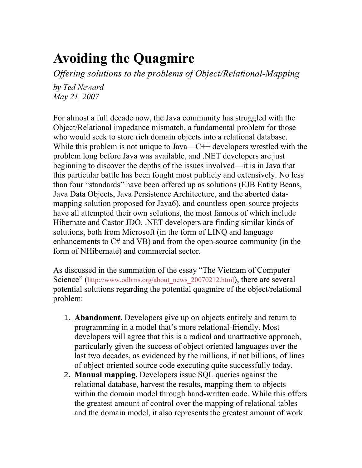# **Avoiding the Quagmire**

*Offering solutions to the problems of Object/Relational-Mapping*

*by Ted Neward May 21, 2007*

For almost a full decade now, the Java community has struggled with the Object/Relational impedance mismatch, a fundamental problem for those who would seek to store rich domain objects into a relational database. While this problem is not unique to Java—C<sup>++</sup> developers wrestled with the problem long before Java was available, and .NET developers are just beginning to discover the depths of the issues involved—it is in Java that this particular battle has been fought most publicly and extensively. No less than four "standards" have been offered up as solutions (EJB Entity Beans, Java Data Objects, Java Persistence Architecture, and the aborted datamapping solution proposed for Java6), and countless open-source projects have all attempted their own solutions, the most famous of which include Hibernate and Castor JDO. .NET developers are finding similar kinds of solutions, both from Microsoft (in the form of LINQ and language enhancements to C# and VB) and from the open-source community (in the form of NHibernate) and commercial sector.

As discussed in the summation of the essay "The Vietnam of Computer Science" ([http://www.odbms.org/about\\_news\\_20070212.html](http://www.odbms.org/about_news_20070212.html)), there are several potential solutions regarding the potential quagmire of the object/relational problem:

- 1. **Abandoment.** Developers give up on objects entirely and return to programming in a model that's more relational-friendly. Most developers will agree that this is a radical and unattractive approach, particularly given the success of object-oriented languages over the last two decades, as evidenced by the millions, if not billions, of lines of object-oriented source code executing quite successfully today.
- 2. **Manual mapping.** Developers issue SQL queries against the relational database, harvest the results, mapping them to objects within the domain model through hand-written code. While this offers the greatest amount of control over the mapping of relational tables and the domain model, it also represents the greatest amount of work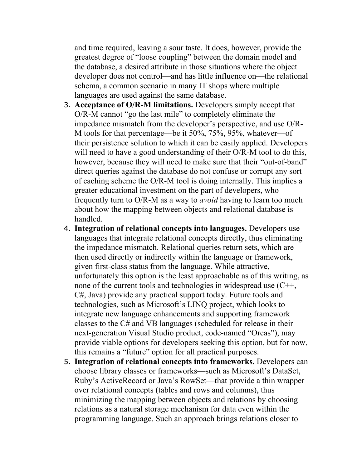and time required, leaving a sour taste. It does, however, provide the greatest degree of "loose coupling" between the domain model and the database, a desired attribute in those situations where the object developer does not control—and has little influence on—the relational schema, a common scenario in many IT shops where multiple languages are used against the same database.

- 3. **Acceptance of O/R-M limitations.** Developers simply accept that O/R-M cannot "go the last mile" to completely eliminate the impedance mismatch from the developer's perspective, and use O/R-M tools for that percentage—be it 50%, 75%, 95%, whatever—of their persistence solution to which it can be easily applied. Developers will need to have a good understanding of their O/R-M tool to do this, however, because they will need to make sure that their "out-of-band" direct queries against the database do not confuse or corrupt any sort of caching scheme the O/R-M tool is doing internally. This implies a greater educational investment on the part of developers, who frequently turn to O/R-M as a way to *avoid* having to learn too much about how the mapping between objects and relational database is handled.
- 4. **Integration of relational concepts into languages.** Developers use languages that integrate relational concepts directly, thus eliminating the impedance mismatch. Relational queries return sets, which are then used directly or indirectly within the language or framework, given first-class status from the language. While attractive, unfortunately this option is the least approachable as of this writing, as none of the current tools and technologies in widespread use (C++, C#, Java) provide any practical support today. Future tools and technologies, such as Microsoft's LINQ project, which looks to integrate new language enhancements and supporting framework classes to the C# and VB languages (scheduled for release in their next-generation Visual Studio product, code-named "Orcas"), may provide viable options for developers seeking this option, but for now, this remains a "future" option for all practical purposes.
- 5. **Integration of relational concepts into frameworks.** Developers can choose library classes or frameworks—such as Microsoft's DataSet, Ruby's ActiveRecord or Java's RowSet—that provide a thin wrapper over relational concepts (tables and rows and columns), thus minimizing the mapping between objects and relations by choosing relations as a natural storage mechanism for data even within the programming language. Such an approach brings relations closer to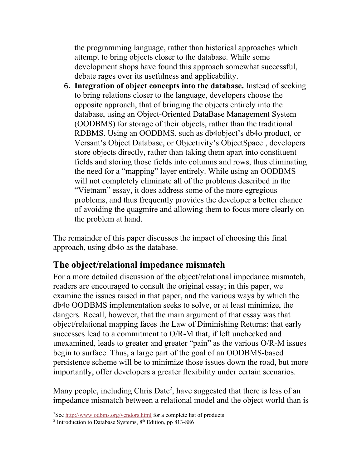the programming language, rather than historical approaches which attempt to bring objects closer to the database. While some development shops have found this approach somewhat successful, debate rages over its usefulness and applicability.

6. **Integration of object concepts into the database.** Instead of seeking to bring relations closer to the language, developers choose the opposite approach, that of bringing the objects entirely into the database, using an Object-Oriented DataBase Management System (OODBMS) for storage of their objects, rather than the traditional RDBMS. Using an OODBMS, such as db4object's db4o product, or Versant's Object Database, or Objectivity's ObjectSpace<sup>[1](#page-2-0)</sup>, developers store objects directly, rather than taking them apart into constituent fields and storing those fields into columns and rows, thus eliminating the need for a "mapping" layer entirely. While using an OODBMS will not completely eliminate all of the problems described in the "Vietnam" essay, it does address some of the more egregious problems, and thus frequently provides the developer a better chance of avoiding the quagmire and allowing them to focus more clearly on the problem at hand.

The remainder of this paper discusses the impact of choosing this final approach, using db4o as the database.

# **The object/relational impedance mismatch**

For a more detailed discussion of the object/relational impedance mismatch, readers are encouraged to consult the original essay; in this paper, we examine the issues raised in that paper, and the various ways by which the db4o OODBMS implementation seeks to solve, or at least minimize, the dangers. Recall, however, that the main argument of that essay was that object/relational mapping faces the Law of Diminishing Returns: that early successes lead to a commitment to O/R-M that, if left unchecked and unexamined, leads to greater and greater "pain" as the various O/R-M issues begin to surface. Thus, a large part of the goal of an OODBMS-based persistence scheme will be to minimize those issues down the road, but more importantly, offer developers a greater flexibility under certain scenarios.

Many people, including Chris Date<sup>[2](#page-2-1)</sup>, have suggested that there is less of an impedance mismatch between a relational model and the object world than is

<span id="page-2-0"></span><sup>&</sup>lt;sup>1</sup>See <http://www.odbms.org/vendors.html>for a complete list of products

<span id="page-2-1"></span><sup>&</sup>lt;sup>2</sup> Introduction to Database Systems,  $8<sup>th</sup>$  Edition, pp 813-886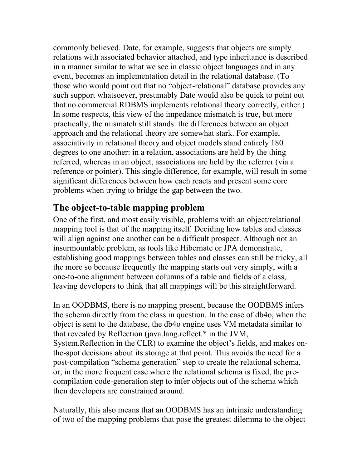commonly believed. Date, for example, suggests that objects are simply relations with associated behavior attached, and type inheritance is described in a manner similar to what we see in classic object languages and in any event, becomes an implementation detail in the relational database. (To those who would point out that no "object-relational" database provides any such support whatsoever, presumably Date would also be quick to point out that no commercial RDBMS implements relational theory correctly, either.) In some respects, this view of the impedance mismatch is true, but more practically, the mismatch still stands: the differences between an object approach and the relational theory are somewhat stark. For example, associativity in relational theory and object models stand entirely 180 degrees to one another: in a relation, associations are held by the thing referred, whereas in an object, associations are held by the referrer (via a reference or pointer). This single difference, for example, will result in some significant differences between how each reacts and present some core problems when trying to bridge the gap between the two.

#### **The object-to-table mapping problem**

One of the first, and most easily visible, problems with an object/relational mapping tool is that of the mapping itself. Deciding how tables and classes will align against one another can be a difficult prospect. Although not an insurmountable problem, as tools like Hibernate or JPA demonstrate, establishing good mappings between tables and classes can still be tricky, all the more so because frequently the mapping starts out very simply, with a one-to-one alignment between columns of a table and fields of a class, leaving developers to think that all mappings will be this straightforward.

In an OODBMS, there is no mapping present, because the OODBMS infers the schema directly from the class in question. In the case of db4o, when the object is sent to the database, the db4o engine uses VM metadata similar to that revealed by Reflection (java.lang.reflect.\* in the JVM, System.Reflection in the CLR) to examine the object's fields, and makes onthe-spot decisions about its storage at that point. This avoids the need for a post-compilation "schema generation" step to create the relational schema, or, in the more frequent case where the relational schema is fixed, the precompilation code-generation step to infer objects out of the schema which then developers are constrained around.

Naturally, this also means that an OODBMS has an intrinsic understanding of two of the mapping problems that pose the greatest dilemma to the object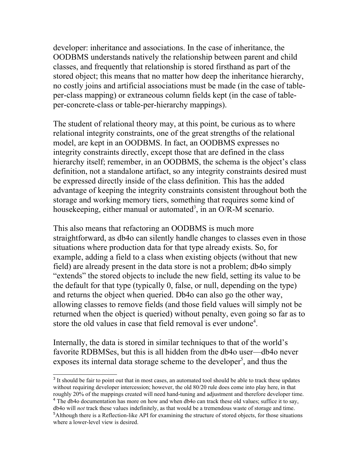developer: inheritance and associations. In the case of inheritance, the OODBMS understands natively the relationship between parent and child classes, and frequently that relationship is stored firsthand as part of the stored object; this means that no matter how deep the inheritance hierarchy, no costly joins and artificial associations must be made (in the case of tableper-class mapping) or extraneous column fields kept (in the case of tableper-concrete-class or table-per-hierarchy mappings).

The student of relational theory may, at this point, be curious as to where relational integrity constraints, one of the great strengths of the relational model, are kept in an OODBMS. In fact, an OODBMS expresses no integrity constraints directly, except those that are defined in the class hierarchy itself; remember, in an OODBMS, the schema is the object's class definition, not a standalone artifact, so any integrity constraints desired must be expressed directly inside of the class definition. This has the added advantage of keeping the integrity constraints consistent throughout both the storage and working memory tiers, something that requires some kind of housekeeping, either manual or automated<sup>[3](#page-4-0)</sup>, in an O/R-M scenario.

This also means that refactoring an OODBMS is much more straightforward, as db4o can silently handle changes to classes even in those situations where production data for that type already exists. So, for example, adding a field to a class when existing objects (without that new field) are already present in the data store is not a problem; db4o simply "extends" the stored objects to include the new field, setting its value to be the default for that type (typically 0, false, or null, depending on the type) and returns the object when queried. Db4o can also go the other way, allowing classes to remove fields (and those field values will simply not be returned when the object is queried) without penalty, even going so far as to store the old values in case that field removal is ever undone<sup>[4](#page-4-1)</sup>.

Internally, the data is stored in similar techniques to that of the world's favorite RDBMSes, but this is all hidden from the db4o user—db4o never exposes its internal data storage scheme to the developer<sup>[5](#page-4-2)</sup>, and thus the

<span id="page-4-0"></span><sup>&</sup>lt;sup>3</sup> It should be fair to point out that in most cases, an automated tool should be able to track these updates without requiring developer intercession; however, the old 80/20 rule does come into play here, in that roughly 20% of the mappings created will need hand-tuning and adjustment and therefore developer time.

<span id="page-4-1"></span><sup>&</sup>lt;sup>4</sup> The db4o documentation has more on how and when db4o can track these old values; suffice it to say, db4o will *not* track these values indefinitely, as that would be a tremendous waste of storage and time.

<span id="page-4-2"></span><sup>5</sup>Although there is a Reflection-like API for examining the structure of stored objects, for those situations where a lower-level view is desired.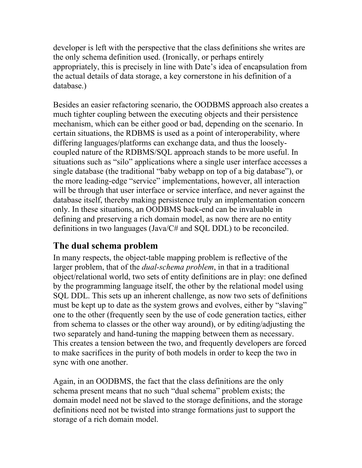developer is left with the perspective that the class definitions she writes are the only schema definition used. (Ironically, or perhaps entirely appropriately, this is precisely in line with Date's idea of encapsulation from the actual details of data storage, a key cornerstone in his definition of a database.)

Besides an easier refactoring scenario, the OODBMS approach also creates a much tighter coupling between the executing objects and their persistence mechanism, which can be either good or bad, depending on the scenario. In certain situations, the RDBMS is used as a point of interoperability, where differing languages/platforms can exchange data, and thus the looselycoupled nature of the RDBMS/SQL approach stands to be more useful. In situations such as "silo" applications where a single user interface accesses a single database (the traditional "baby webapp on top of a big database"), or the more leading-edge "service" implementations, however, all interaction will be through that user interface or service interface, and never against the database itself, thereby making persistence truly an implementation concern only. In these situations, an OODBMS back-end can be invaluable in defining and preserving a rich domain model, as now there are no entity definitions in two languages (Java/C# and SQL DDL) to be reconciled.

## **The dual schema problem**

In many respects, the object-table mapping problem is reflective of the larger problem, that of the *dual-schema problem*, in that in a traditional object/relational world, two sets of entity definitions are in play: one defined by the programming language itself, the other by the relational model using SQL DDL. This sets up an inherent challenge, as now two sets of definitions must be kept up to date as the system grows and evolves, either by "slaving" one to the other (frequently seen by the use of code generation tactics, either from schema to classes or the other way around), or by editing/adjusting the two separately and hand-tuning the mapping between them as necessary. This creates a tension between the two, and frequently developers are forced to make sacrifices in the purity of both models in order to keep the two in sync with one another.

Again, in an OODBMS, the fact that the class definitions are the only schema present means that no such "dual schema" problem exists; the domain model need not be slaved to the storage definitions, and the storage definitions need not be twisted into strange formations just to support the storage of a rich domain model.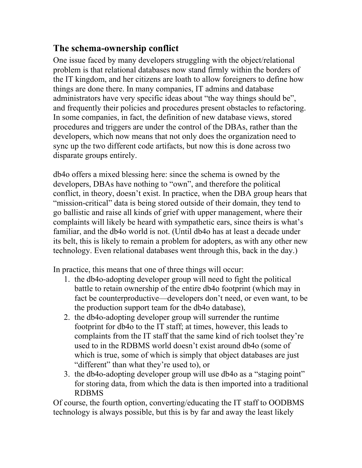# **The schema-ownership conflict**

One issue faced by many developers struggling with the object/relational problem is that relational databases now stand firmly within the borders of the IT kingdom, and her citizens are loath to allow foreigners to define how things are done there. In many companies, IT admins and database administrators have very specific ideas about "the way things should be", and frequently their policies and procedures present obstacles to refactoring. In some companies, in fact, the definition of new database views, stored procedures and triggers are under the control of the DBAs, rather than the developers, which now means that not only does the organization need to sync up the two different code artifacts, but now this is done across two disparate groups entirely.

db4o offers a mixed blessing here: since the schema is owned by the developers, DBAs have nothing to "own", and therefore the political conflict, in theory, doesn't exist. In practice, when the DBA group hears that "mission-critical" data is being stored outside of their domain, they tend to go ballistic and raise all kinds of grief with upper management, where their complaints will likely be heard with sympathetic ears, since theirs is what's familiar, and the db4o world is not. (Until db4o has at least a decade under its belt, this is likely to remain a problem for adopters, as with any other new technology. Even relational databases went through this, back in the day.)

In practice, this means that one of three things will occur:

- 1. the db4o-adopting developer group will need to fight the political battle to retain ownership of the entire db4o footprint (which may in fact be counterproductive—developers don't need, or even want, to be the production support team for the db4o database),
- 2. the db4o-adopting developer group will surrender the runtime footprint for db4o to the IT staff; at times, however, this leads to complaints from the IT staff that the same kind of rich toolset they're used to in the RDBMS world doesn't exist around db4o (some of which is true, some of which is simply that object databases are just "different" than what they're used to), or
- 3. the db4o-adopting developer group will use db4o as a "staging point" for storing data, from which the data is then imported into a traditional RDBMS

Of course, the fourth option, converting/educating the IT staff to OODBMS technology is always possible, but this is by far and away the least likely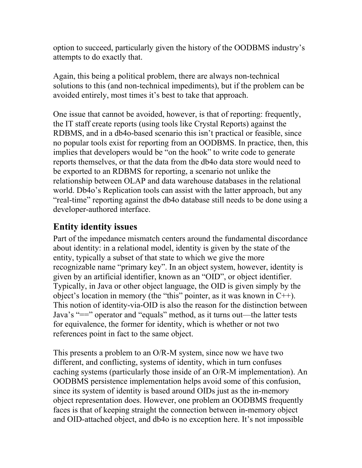option to succeed, particularly given the history of the OODBMS industry's attempts to do exactly that.

Again, this being a political problem, there are always non-technical solutions to this (and non-technical impediments), but if the problem can be avoided entirely, most times it's best to take that approach.

One issue that cannot be avoided, however, is that of reporting: frequently, the IT staff create reports (using tools like Crystal Reports) against the RDBMS, and in a db4o-based scenario this isn't practical or feasible, since no popular tools exist for reporting from an OODBMS. In practice, then, this implies that developers would be "on the hook" to write code to generate reports themselves, or that the data from the db4o data store would need to be exported to an RDBMS for reporting, a scenario not unlike the relationship between OLAP and data warehouse databases in the relational world. Db4o's Replication tools can assist with the latter approach, but any "real-time" reporting against the db4o database still needs to be done using a developer-authored interface.

# **Entity identity issues**

Part of the impedance mismatch centers around the fundamental discordance about identity: in a relational model, identity is given by the state of the entity, typically a subset of that state to which we give the more recognizable name "primary key". In an object system, however, identity is given by an artificial identifier, known as an "OID", or object identifier. Typically, in Java or other object language, the OID is given simply by the object's location in memory (the "this" pointer, as it was known in  $C^{++}$ ). This notion of identity-via-OID is also the reason for the distinction between Java's "==" operator and "equals" method, as it turns out—the latter tests for equivalence, the former for identity, which is whether or not two references point in fact to the same object.

This presents a problem to an O/R-M system, since now we have two different, and conflicting, systems of identity, which in turn confuses caching systems (particularly those inside of an O/R-M implementation). An OODBMS persistence implementation helps avoid some of this confusion, since its system of identity is based around OIDs just as the in-memory object representation does. However, one problem an OODBMS frequently faces is that of keeping straight the connection between in-memory object and OID-attached object, and db4o is no exception here. It's not impossible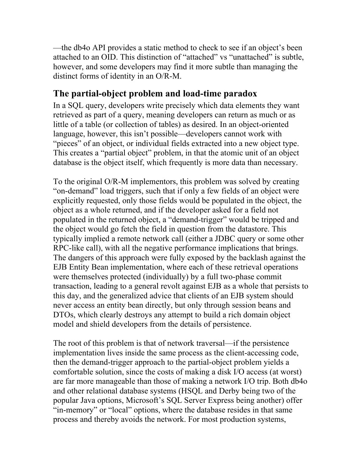—the db4o API provides a static method to check to see if an object's been attached to an OID. This distinction of "attached" vs "unattached" is subtle, however, and some developers may find it more subtle than managing the distinct forms of identity in an O/R-M.

#### **The partial-object problem and load-time paradox**

In a SQL query, developers write precisely which data elements they want retrieved as part of a query, meaning developers can return as much or as little of a table (or collection of tables) as desired. In an object-oriented language, however, this isn't possible—developers cannot work with "pieces" of an object, or individual fields extracted into a new object type. This creates a "partial object" problem, in that the atomic unit of an object database is the object itself, which frequently is more data than necessary.

To the original O/R-M implementors, this problem was solved by creating "on-demand" load triggers, such that if only a few fields of an object were explicitly requested, only those fields would be populated in the object, the object as a whole returned, and if the developer asked for a field not populated in the returned object, a "demand-trigger" would be tripped and the object would go fetch the field in question from the datastore. This typically implied a remote network call (either a JDBC query or some other RPC-like call), with all the negative performance implications that brings. The dangers of this approach were fully exposed by the backlash against the EJB Entity Bean implementation, where each of these retrieval operations were themselves protected (individually) by a full two-phase commit transaction, leading to a general revolt against EJB as a whole that persists to this day, and the generalized advice that clients of an EJB system should never access an entity bean directly, but only through session beans and DTOs, which clearly destroys any attempt to build a rich domain object model and shield developers from the details of persistence.

The root of this problem is that of network traversal—if the persistence implementation lives inside the same process as the client-accessing code, then the demand-trigger approach to the partial-object problem yields a comfortable solution, since the costs of making a disk I/O access (at worst) are far more manageable than those of making a network I/O trip. Both db4o and other relational database systems (HSQL and Derby being two of the popular Java options, Microsoft's SQL Server Express being another) offer "in-memory" or "local" options, where the database resides in that same process and thereby avoids the network. For most production systems,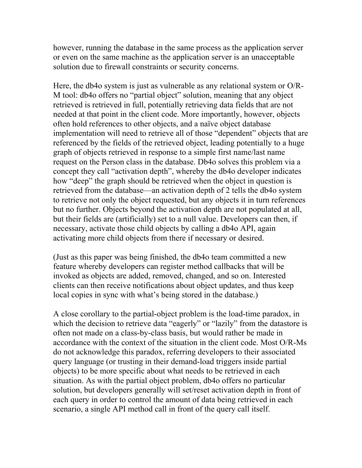however, running the database in the same process as the application server or even on the same machine as the application server is an unacceptable solution due to firewall constraints or security concerns.

Here, the db4o system is just as vulnerable as any relational system or O/R-M tool: db4o offers no "partial object" solution, meaning that any object retrieved is retrieved in full, potentially retrieving data fields that are not needed at that point in the client code. More importantly, however, objects often hold references to other objects, and a naïve object database implementation will need to retrieve all of those "dependent" objects that are referenced by the fields of the retrieved object, leading potentially to a huge graph of objects retrieved in response to a simple first name/last name request on the Person class in the database. Db4o solves this problem via a concept they call "activation depth", whereby the db4o developer indicates how "deep" the graph should be retrieved when the object in question is retrieved from the database—an activation depth of 2 tells the db4o system to retrieve not only the object requested, but any objects it in turn references but no further. Objects beyond the activation depth are not populated at all, but their fields are (artificially) set to a null value. Developers can then, if necessary, activate those child objects by calling a db4o API, again activating more child objects from there if necessary or desired.

(Just as this paper was being finished, the db4o team committed a new feature whereby developers can register method callbacks that will be invoked as objects are added, removed, changed, and so on. Interested clients can then receive notifications about object updates, and thus keep local copies in sync with what's being stored in the database.)

A close corollary to the partial-object problem is the load-time paradox, in which the decision to retrieve data "eagerly" or "lazily" from the datastore is often not made on a class-by-class basis, but would rather be made in accordance with the context of the situation in the client code. Most O/R-Ms do not acknowledge this paradox, referring developers to their associated query language (or trusting in their demand-load triggers inside partial objects) to be more specific about what needs to be retrieved in each situation. As with the partial object problem, db4o offers no particular solution, but developers generally will set/reset activation depth in front of each query in order to control the amount of data being retrieved in each scenario, a single API method call in front of the query call itself.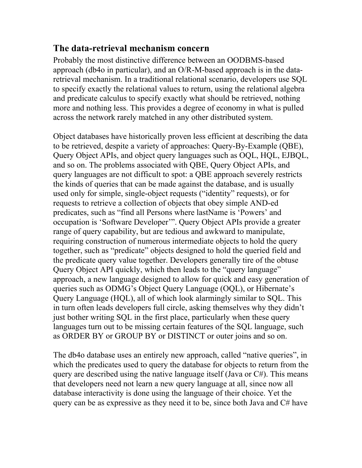#### **The data-retrieval mechanism concern**

Probably the most distinctive difference between an OODBMS-based approach (db4o in particular), and an O/R-M-based approach is in the dataretrieval mechanism. In a traditional relational scenario, developers use SQL to specify exactly the relational values to return, using the relational algebra and predicate calculus to specify exactly what should be retrieved, nothing more and nothing less. This provides a degree of economy in what is pulled across the network rarely matched in any other distributed system.

Object databases have historically proven less efficient at describing the data to be retrieved, despite a variety of approaches: Query-By-Example (QBE), Query Object APIs, and object query languages such as OQL, HQL, EJBQL, and so on. The problems associated with QBE, Query Object APIs, and query languages are not difficult to spot: a QBE approach severely restricts the kinds of queries that can be made against the database, and is usually used only for simple, single-object requests ("identity" requests), or for requests to retrieve a collection of objects that obey simple AND-ed predicates, such as "find all Persons where lastName is 'Powers' and occupation is 'Software Developer'". Query Object APIs provide a greater range of query capability, but are tedious and awkward to manipulate, requiring construction of numerous intermediate objects to hold the query together, such as "predicate" objects designed to hold the queried field and the predicate query value together. Developers generally tire of the obtuse Query Object API quickly, which then leads to the "query language" approach, a new language designed to allow for quick and easy generation of queries such as ODMG's Object Query Language (OQL), or Hibernate's Query Language (HQL), all of which look alarmingly similar to SQL. This in turn often leads developers full circle, asking themselves why they didn't just bother writing SQL in the first place, particularly when these query languages turn out to be missing certain features of the SQL language, such as ORDER BY or GROUP BY or DISTINCT or outer joins and so on.

The db4o database uses an entirely new approach, called "native queries", in which the predicates used to query the database for objects to return from the query are described using the native language itself (Java or C#). This means that developers need not learn a new query language at all, since now all database interactivity is done using the language of their choice. Yet the query can be as expressive as they need it to be, since both Java and C# have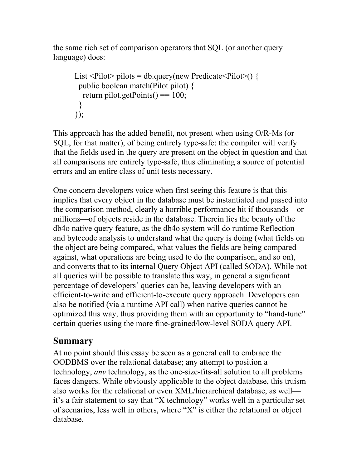the same rich set of comparison operators that SQL (or another query language) does:

```
List <Pilot> pilots = db.query(new Predicate <Pilot>() {
  public boolean match(Pilot pilot) {
  return pilot.getPoints() == 100;
  }
});
```
This approach has the added benefit, not present when using O/R-Ms (or SQL, for that matter), of being entirely type-safe: the compiler will verify that the fields used in the query are present on the object in question and that all comparisons are entirely type-safe, thus eliminating a source of potential errors and an entire class of unit tests necessary.

One concern developers voice when first seeing this feature is that this implies that every object in the database must be instantiated and passed into the comparison method, clearly a horrible performance hit if thousands—or millions—of objects reside in the database. Therein lies the beauty of the db4o native query feature, as the db4o system will do runtime Reflection and bytecode analysis to understand what the query is doing (what fields on the object are being compared, what values the fields are being compared against, what operations are being used to do the comparison, and so on), and converts that to its internal Query Object API (called SODA). While not all queries will be possible to translate this way, in general a significant percentage of developers' queries can be, leaving developers with an efficient-to-write and efficient-to-execute query approach. Developers can also be notified (via a runtime API call) when native queries cannot be optimized this way, thus providing them with an opportunity to "hand-tune" certain queries using the more fine-grained/low-level SODA query API.

## **Summary**

At no point should this essay be seen as a general call to embrace the OODBMS over the relational database; any attempt to position a technology, *any* technology, as the one-size-fits-all solution to all problems faces dangers. While obviously applicable to the object database, this truism also works for the relational or even XML/hierarchical database, as well it's a fair statement to say that "X technology" works well in a particular set of scenarios, less well in others, where "X" is either the relational or object database.